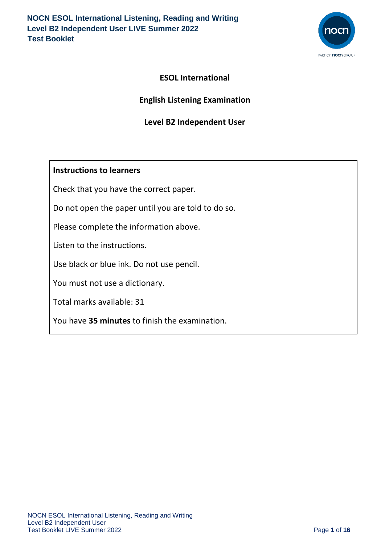

# **ESOL International**

# **English Listening Examination**

### **Level B2 Independent User**

**Instructions to learners**

Check that you have the correct paper.

Do not open the paper until you are told to do so.

Please complete the information above.

Listen to the instructions.

Use black or blue ink. Do not use pencil.

You must not use a dictionary.

Total marks available: 31

You have **35 minutes** to finish the examination.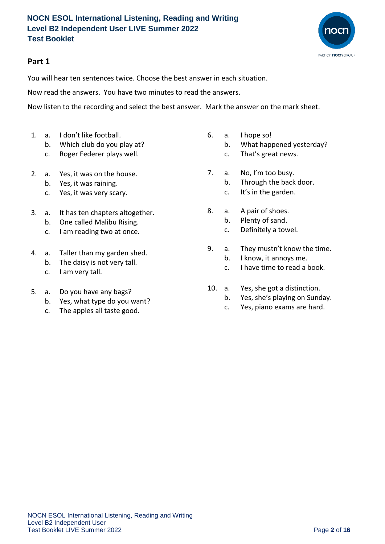

# **Part 1**

You will hear ten sentences twice. Choose the best answer in each situation.

Now read the answers. You have two minutes to read the answers.

Now listen to the recording and select the best answer. Mark the answer on the mark sheet.

- 1. a. I don't like football.
	- b. Which club do you play at?
	- c. Roger Federer plays well.
- 2. a. Yes, it was on the house.
	- b. Yes, it was raining.
	- c. Yes, it was very scary.
- 3. a. It has ten chapters altogether.
	- b. One called Malibu Rising.
	- c. I am reading two at once.
- 4. a. Taller than my garden shed.
	- b. The daisy is not very tall.
	- c. I am very tall.
- 5. a. Do you have any bags?
	- b. Yes, what type do you want?
	- c. The apples all taste good.
- 6. a. I hope so!
	- b. What happened yesterday?
	- c. That's great news.
- 7. a. No, I'm too busy.
	- b. Through the back door.
	- c. It's in the garden.
- 8. a. A pair of shoes.
	- b. Plenty of sand.
	- c. Definitely a towel.
- 9. a. They mustn't know the time.
	- b. I know, it annoys me.
	- c. I have time to read a book.
- 10. a. Yes, she got a distinction.
	- b. Yes, she's playing on Sunday.
	- c. Yes, piano exams are hard.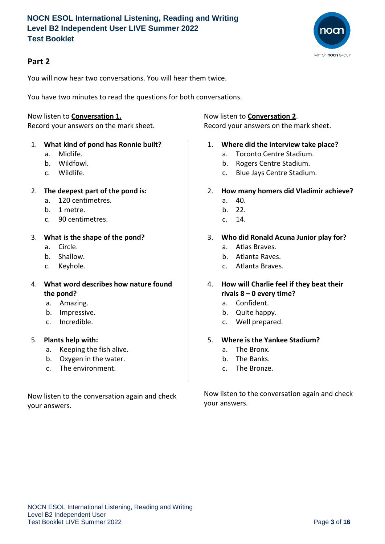

# **Part 2**

You will now hear two conversations. You will hear them twice.

You have two minutes to read the questions for both conversations.

Now listen to **Conversation 1.** Record your answers on the mark sheet.

### 1. **What kind of pond has Ronnie built?**

- a. Midlife.
- b. Wildfowl.
- c. Wildlife.

### 2. **The deepest part of the pond is:**

- a. 120 centimetres.
- b. 1 metre.
- c. 90 centimetres.

### 3. **What is the shape of the pond?**

- a. Circle.
- b. Shallow.
- c. Keyhole.

### 4. **What word describes how nature found the pond?**

- a. Amazing.
- b. Impressive.
- c. Incredible.

### 5. **Plants help with:**

- a. Keeping the fish alive.
- b. Oxygen in the water.
- c. The environment.

Now listen to the conversation again and check your answers.

Now listen to **Conversation 2**.

Record your answers on the mark sheet.

### 1. **Where did the interview take place?**

- a. Toronto Centre Stadium.
- b. Rogers Centre Stadium.
- c. Blue Jays Centre Stadium.
- 2. **How many homers did Vladimir achieve?**
	- a. 40.
	- b. 22.
	- c. 14.

### 3. **Who did Ronald Acuna Junior play for?**

- a. Atlas Braves.
- b. Atlanta Raves.
- c. Atlanta Braves.
- 4. **How will Charlie feel if they beat their rivals 8 – 0 every time?**
	- a. Confident.
	- b. Quite happy.
	- c. Well prepared.

#### 5. **Where is the Yankee Stadium?**

- a. The Bronx.
- b. The Banks.
- c. The Bronze.

Now listen to the conversation again and check your answers.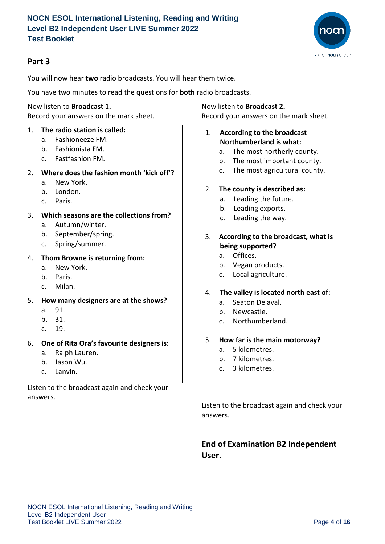

# **Part 3**

You will now hear **two** radio broadcasts. You will hear them twice.

You have two minutes to read the questions for **both** radio broadcasts.

Now listen to **Broadcast 1.** Record your answers on the mark sheet.

### 1. **The radio station is called:**

- a. Fashioneeze FM.
- b. Fashionista FM.
- c. Fastfashion FM.

# 2. **Where does the fashion month 'kick off'?**

- a. New York.
- b. London.
- c. Paris.

# 3. **Which seasons are the collections from?**

- a. Autumn/winter.
- b. September/spring.
- c. Spring/summer.
- 4. **Thom Browne is returning from:**
	- a. New York.
	- b. Paris.
	- c. Milan.
- 5. **How many designers are at the shows?**
	- a. 91.
	- b. 31.
	- c. 19.
- 6. **One of Rita Ora's favourite designers is:**
	- a. Ralph Lauren.
	- b. Jason Wu.
	- c. Lanvin.

Listen to the broadcast again and check your answers.

Now listen to **Broadcast 2.** Record your answers on the mark sheet.

# 1. **According to the broadcast Northumberland is what:**

- a. The most northerly county.
- b. The most important county.
- c. The most agricultural county.

### 2. **The county is described as:**

- a. Leading the future.
- b. Leading exports.
- c. Leading the way.
- 3. **According to the broadcast, what is being supported?**
	- a. Offices.
	- b. Vegan products.
	- c. Local agriculture.

# 4. **The valley is located north east of:**

- a. Seaton Delaval.
- b. Newcastle.
- c. Northumberland.

### 5. **How far is the main motorway?**

- a. 5 kilometres.
- b. 7 kilometres.
- c. 3 kilometres.

Listen to the broadcast again and check your answers.

# **End of Examination B2 Independent User.**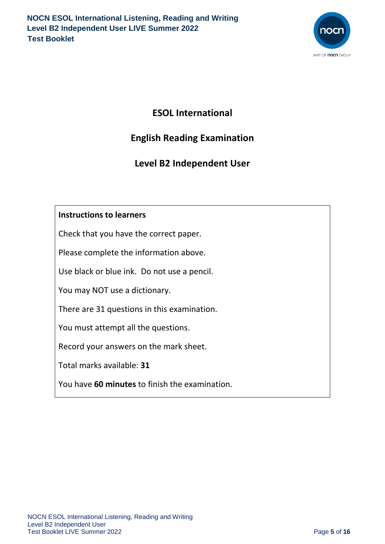

# **ESOL International**

# **English Reading Examination**

# **Level B2 Independent User**

# **Instructions to learners**

Check that you have the correct paper.

Please complete the information above.

Use black or blue ink. Do not use a pencil.

You may NOT use a dictionary.

There are 31 questions in this examination.

You must attempt all the questions.

Record your answers on the mark sheet.

Total marks available: **31**

You have **60 minutes** to finish the examination.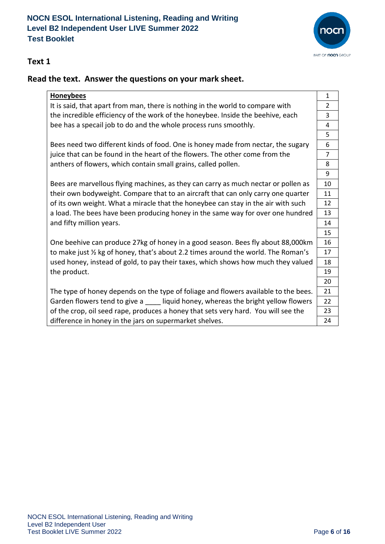

# **Text 1**

# **Read the text. Answer the questions on your mark sheet.**

### **Honeybees** 1

It is said, that apart from man, there is nothing in the world to compare with  $\vert$  2 the incredible efficiency of the work of the honeybee. Inside the beehive, each  $\vert$  3 bee has a specail job to do and the whole process runs smoothly.  $\begin{array}{|c|c|} \hline \end{array}$  4

Bees need two different kinds of food. One is honey made from nectar, the sugary  $\begin{vmatrix} 6 \end{vmatrix}$ juice that can be found in the heart of the flowers. The other come from the  $\vert 7$ anthers of flowers, which contain small grains, called pollen. 8

Bees are marvellous flying machines, as they can carry as much nectar or pollen as  $\parallel$  10 their own bodyweight. Compare that to an aircraft that can only carry one quarter  $\begin{vmatrix} 1 & 1 & 1 \\ 1 & 1 & 1 \end{vmatrix}$ of its own weight. What a miracle that the honeybee can stay in the air with such  $\begin{vmatrix} 1 & 1 & 1 \\ 1 & 1 & 1 \end{vmatrix}$ a load. The bees have been producing honey in the same way for over one hundred  $\vert$  13 and fifty million years. 14

One beehive can produce 27kg of honey in a good season. Bees fly about 88,000 km  $\vert$  16 to make just  $\frac{1}{2}$  kg of honey, that's about 2.2 times around the world. The Roman's  $\begin{vmatrix} 1 & 17 \\ 1 & 1 \end{vmatrix}$ used honey, instead of gold, to pay their taxes, which shows how much they valued  $\vert$  18 the product. 19

The type of honey depends on the type of foliage and flowers available to the bees.  $\vert$ Garden flowers tend to give a liquid honey, whereas the bright yellow flowers  $\vert$ of the crop, oil seed rape, produces a honey that sets very hard. You will see the  $\vert$ difference in honey in the jars on supermarket shelves. 24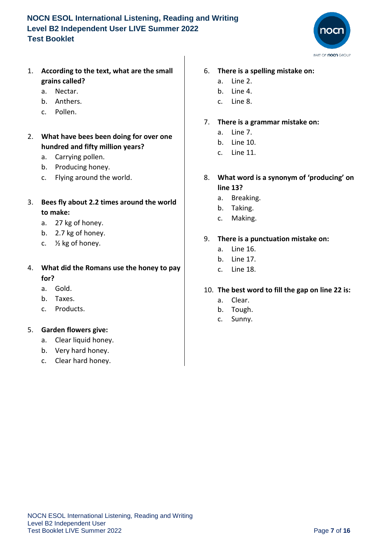

- 1. **According to the text, what are the small grains called?**
	- a. Nectar.
	- b. Anthers.
	- c. Pollen.
- 2. **What have bees been doing for over one hundred and fifty million years?**
	- a. Carrying pollen.
	- b. Producing honey.
	- c. Flying around the world.
- 3. **Bees fly about 2.2 times around the world to make:**
	- a. 27 kg of honey.
	- b. 2.7 kg of honey.
	- c. ½ kg of honey.
- 4. **What did the Romans use the honey to pay for?**
	- a. Gold.
	- b. Taxes.
	- c. Products.
- 5. **Garden flowers give:**
	- a. Clear liquid honey.
	- b. Very hard honey.
	- c. Clear hard honey.

### 6. **There is a spelling mistake on:**

- a. Line 2.
- b. Line 4.
- c. Line 8.

# 7. **There is a grammar mistake on:**

- a. Line 7.
- b. Line 10.
- c. Line 11.
- 8. **What word is a synonym of 'producing' on line 13?**
	- a. Breaking.
	- b. Taking.
	- c. Making.

### 9. **There is a punctuation mistake on:**

- a. Line 16.
- b. Line 17.
- c. Line 18.

# 10. **The best word to fill the gap on line 22 is:**

- a. Clear.
- b. Tough.
- c. Sunny.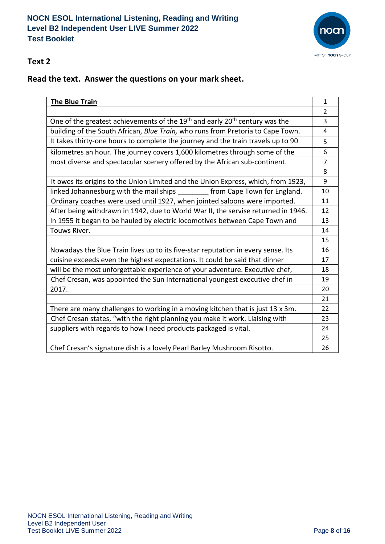

# **Text 2**

# **Read the text. Answer the questions on your mark sheet.**

| <b>The Blue Train</b>                                                                               | $\mathbf{1}$   |
|-----------------------------------------------------------------------------------------------------|----------------|
|                                                                                                     | $\overline{2}$ |
| One of the greatest achievements of the 19 <sup>th</sup> and early 20 <sup>th</sup> century was the | 3              |
| building of the South African, Blue Train, who runs from Pretoria to Cape Town.                     | 4              |
| It takes thirty-one hours to complete the journey and the train travels up to 90                    | 5              |
| kilometres an hour. The journey covers 1,600 kilometres through some of the                         | 6              |
| most diverse and spectacular scenery offered by the African sub-continent.                          | $\overline{7}$ |
|                                                                                                     | 8              |
| It owes its origins to the Union Limited and the Union Express, which, from 1923,                   | 9              |
| linked Johannesburg with the mail ships<br>from Cape Town for England.                              | 10             |
| Ordinary coaches were used until 1927, when jointed saloons were imported.                          | 11             |
| After being withdrawn in 1942, due to World War II, the servise returned in 1946.                   | 12             |
| In 1955 it began to be hauled by electric locomotives between Cape Town and                         | 13             |
| Touws River.                                                                                        | 14             |
|                                                                                                     | 15             |
| Nowadays the Blue Train lives up to its five-star reputation in every sense. Its                    | 16             |
| cuisine exceeds even the highest expectations. It could be said that dinner                         | 17             |
| will be the most unforgettable experience of your adventure. Executive chef,                        | 18             |
| Chef Cresan, was appointed the Sun International youngest executive chef in                         | 19             |
| 2017.                                                                                               | 20             |
|                                                                                                     | 21             |
| There are many challenges to working in a moving kitchen that is just 13 x 3m.                      | 22             |
| Chef Cresan states, "with the right planning you make it work. Liaising with                        | 23             |
| suppliers with regards to how I need products packaged is vital.                                    | 24             |
|                                                                                                     | 25             |
| Chef Cresan's signature dish is a lovely Pearl Barley Mushroom Risotto.                             | 26             |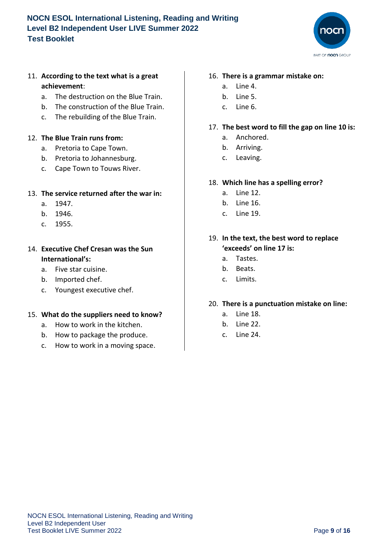

### 11. **According to the text what is a great achievement**:

- a. The destruction on the Blue Train.
- b. The construction of the Blue Train.
- c. The rebuilding of the Blue Train.

### 12. **The Blue Train runs from:**

- a. Pretoria to Cape Town.
- b. Pretoria to Johannesburg.
- c. Cape Town to Touws River.

### 13. **The service returned after the war in:**

- a. 1947.
- b. 1946.
- c. 1955.

### 14. **Executive Chef Cresan was the Sun International's:**

- a. Five star cuisine.
- b. Imported chef.
- c. Youngest executive chef.

#### 15. **What do the suppliers need to know?**

- a. How to work in the kitchen.
- b. How to package the produce.
- c. How to work in a moving space.

### 16. **There is a grammar mistake on:**

- a. Line 4.
- b. Line 5.
- c. Line 6.

### 17. **The best word to fill the gap on line 10 is:**

- a. Anchored.
- b. Arriving.
- c. Leaving.

### 18. **Which line has a spelling error?**

- a. Line 12.
- b. Line 16.
- c. Line 19.

### 19. **In the text, the best word to replace 'exceeds' on line 17 is:**

- a. Tastes.
- b. Beats.
- c. Limits.

### 20. **There is a punctuation mistake on line:**

- a. Line 18.
- b. Line 22.
- c. Line 24.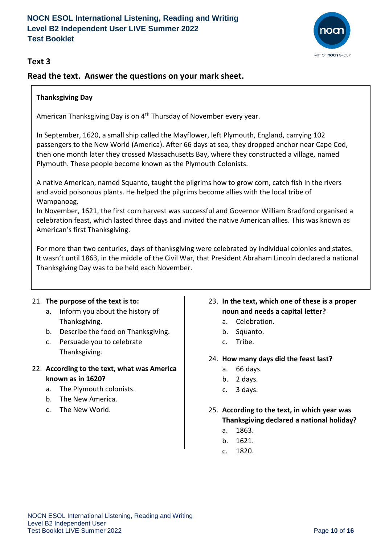

# **Text 3**

# **Read the text. Answer the questions on your mark sheet.**

### **Thanksgiving Day**

American Thanksgiving Day is on 4<sup>th</sup> Thursday of November every year.

In September, 1620, a small ship called the Mayflower, left Plymouth, England, carrying 102 passengers to the New World (America). After 66 days at sea, they dropped anchor near Cape Cod, then one month later they crossed Massachusetts Bay, where they constructed a village, named Plymouth. These people become known as the Plymouth Colonists.

A native American, named Squanto, taught the pilgrims how to grow corn, catch fish in the rivers and avoid poisonous plants. He helped the pilgrims become allies with the local tribe of Wampanoag.

In November, 1621, the first corn harvest was successful and Governor William Bradford organised a celebration feast, which lasted three days and invited the native American allies. This was known as American's first Thanksgiving.

For more than two centuries, days of thanksgiving were celebrated by individual colonies and states. It wasn't until 1863, in the middle of the Civil War, that President Abraham Lincoln declared a national Thanksgiving Day was to be held each November.

### 21. **The purpose of the text is to:**

- a. Inform you about the history of Thanksgiving.
- b. Describe the food on Thanksgiving.
- c. Persuade you to celebrate Thanksgiving.
- 22. **According to the text, what was America known as in 1620?**
	- a. The Plymouth colonists.
	- b. The New America.
	- c. The New World.
- 23. **In the text, which one of these is a proper noun and needs a capital letter?**
	- a. Celebration.
	- b. Squanto.
	- c. Tribe.
- 24. **How many days did the feast last?**
	- a. 66 days.
	- b. 2 days.
	- c. 3 days.
- 25. **According to the text, in which year was Thanksgiving declared a national holiday?**
	- a. 1863.
	- b. 1621.
	- c. 1820.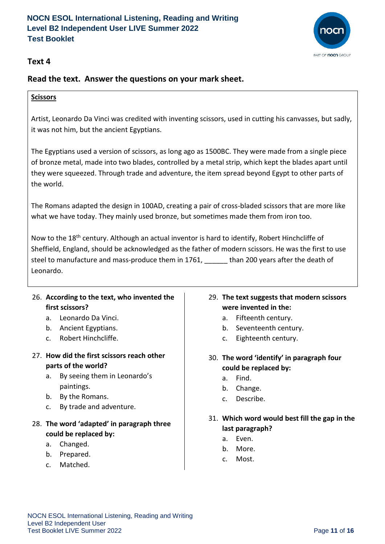

# **Text 4**

# **Read the text. Answer the questions on your mark sheet.**

### **Scissors**

Artist, Leonardo Da Vinci was credited with inventing scissors, used in cutting his canvasses, but sadly, it was not him, but the ancient Egyptians.

The Egyptians used a version of scissors, as long ago as 1500BC. They were made from a single piece of bronze metal, made into two blades, controlled by a metal strip, which kept the blades apart until they were squeezed. Through trade and adventure, the item spread beyond Egypt to other parts of the world.

The Romans adapted the design in 100AD, creating a pair of cross-bladed scissors that are more like what we have today. They mainly used bronze, but sometimes made them from iron too.

Now to the 18<sup>th</sup> century. Although an actual inventor is hard to identify, Robert Hinchcliffe of Sheffield, England, should be acknowledged as the father of modern scissors. He was the first to use steel to manufacture and mass-produce them in 1761, than 200 years after the death of Leonardo.

# 26. **According to the text, who invented the first scissors?**

- a. Leonardo Da Vinci.
- b. Ancient Egyptians.
- c. Robert Hinchcliffe.
- 27. **How did the first scissors reach other parts of the world?**
	- a. By seeing them in Leonardo's paintings.
	- b. By the Romans.
	- c. By trade and adventure.

# 28. **The word 'adapted' in paragraph three could be replaced by:**

- a. Changed.
- b. Prepared.
- c. Matched.

# 29. **The text suggests that modern scissors were invented in the:**

- a. Fifteenth century.
- b. Seventeenth century.
- c. Eighteenth century.
- 30. **The word 'identify' in paragraph four could be replaced by:**
	- a. Find.
	- b. Change.
	- c. Describe.
- 31. **Which word would best fill the gap in the last paragraph?** 
	- a. Even.
	- b. More.
	- c. Most.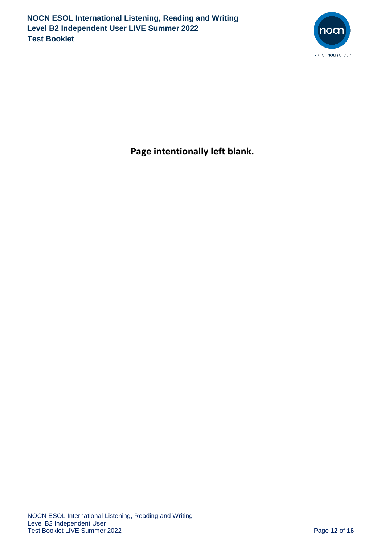

**Page intentionally left blank.**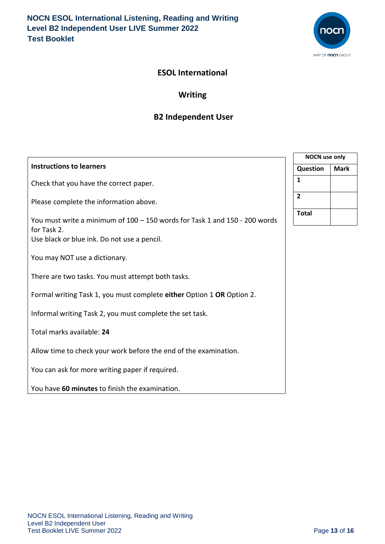

**Mark** 

# **ESOL International**

# **Writing**

# **B2 Independent User**

|                                                                                                                                          | <b>NOCN</b> use only |      |
|------------------------------------------------------------------------------------------------------------------------------------------|----------------------|------|
| <b>Instructions to learners</b>                                                                                                          | Question             | Marl |
| Check that you have the correct paper.                                                                                                   | $\mathbf{1}$         |      |
| Please complete the information above.                                                                                                   | $\overline{2}$       |      |
| You must write a minimum of 100 - 150 words for Task 1 and 150 - 200 words<br>for Task 2.<br>Use black or blue ink. Do not use a pencil. | <b>Total</b>         |      |
| You may NOT use a dictionary.                                                                                                            |                      |      |
| There are two tasks. You must attempt both tasks.                                                                                        |                      |      |
| Formal writing Task 1, you must complete either Option 1 OR Option 2.                                                                    |                      |      |
| Informal writing Task 2, you must complete the set task.                                                                                 |                      |      |
| Total marks available: 24                                                                                                                |                      |      |
| Allow time to check your work before the end of the examination.                                                                         |                      |      |
| You can ask for more writing paper if required.                                                                                          |                      |      |
| You have 60 minutes to finish the examination.                                                                                           |                      |      |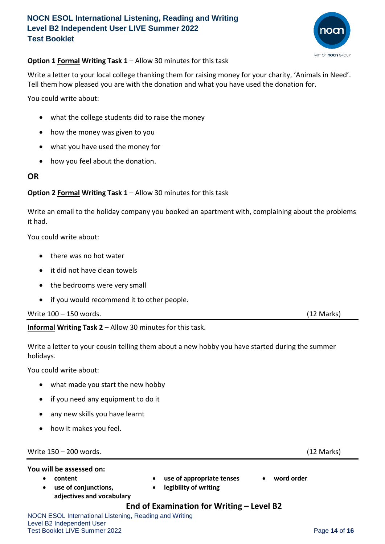

### **Option 1 Formal Writing Task 1** – Allow 30 minutes for this task

Write a letter to your local college thanking them for raising money for your charity, 'Animals in Need'. Tell them how pleased you are with the donation and what you have used the donation for.

You could write about:

- what the college students did to raise the money
- how the money was given to you
- what you have used the money for
- how you feel about the donation.

### **OR**

### **Option 2 Formal Writing Task 1** – Allow 30 minutes for this task

Write an email to the holiday company you booked an apartment with, complaining about the problems it had.

You could write about:

- there was no hot water
- it did not have clean towels
- the bedrooms were very small
- if you would recommend it to other people.

Write 100 – 150 words. (12 Marks)

**Informal Writing Task 2** – Allow 30 minutes for this task.

Write a letter to your cousin telling them about a new hobby you have started during the summer holidays.

You could write about:

- what made you start the new hobby
- if you need any equipment to do it
- any new skills you have learnt
- how it makes you feel.

#### Write 150 – 200 words. (12 Marks)

#### **You will be assessed on:**

- 
- **use of conjunctions, adjectives and vocabulary**
- **content use of appropriate tenses word order legibility of writing**
- - **End of Examination for Writing – Level B2**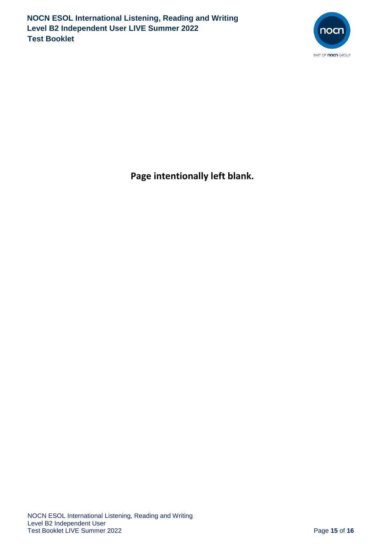

**Page intentionally left blank.**